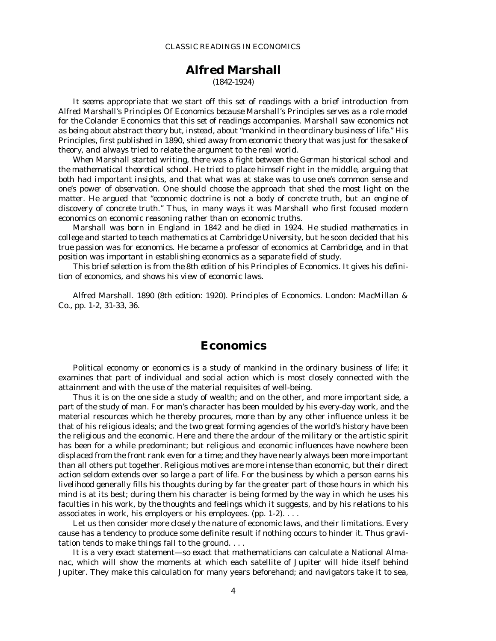## CLASSIC READINGS IN ECONOMICS

## **Alfred Marshall** (1842-1924)

*It seems appropriate that we start off this set of readings with a brief introduction from Alfred Marshall's* Principles Of Economics *because Marshall's* Principles *serves as a role model for the Colander* Economics *that this set of readings accompanies. Marshall saw economics not as being about abstract theory but, instead, about "mankind in the ordinary business of life." His* Principles*, first published in 1890, shied away from economic theory that was just for the sake of theory, and always tried to relate the argument to the real world.*

*When Marshall started writing, there was a fight between the German historical school and the mathematical theoretical school. He tried to place himself right in the middle, arguing that both had important insights, and that what was at stake was to use one's common sense and one's power of observation. One should choose the approach that shed the most light on the matter. He argued that "economic doctrine is not a body of concrete truth, but an engine of discovery of concrete truth." Thus, in many ways it was Marshall who first focused modern economics on economic reasoning rather than on economic truths.*

*Marshall was born in England in 1842 and he died in 1924. He studied mathematics in college and started to teach mathematics at Cambridge University, but he soon decided that his true passion was for economics. He became a professor of economics at Cambridge, and in that position was important in establishing economics as a separate field of study.*

*This brief selection is from the 8th edition of his* Principles of Economics*. It gives his definition of economics, and shows his view of economic laws.*

Alfred Marshall. 1890 (8th edition: 1920). *Principles of Economics*. London: MacMillan & Co., pp. 1-2, 31-33, 36.

## **Economics**

Political economy or economics is a study of mankind in the ordinary business of life; it examines that part of individual and social action which is most closely connected with the attainment and with the use of the material requisites of well-being.

Thus it is on the one side a study of wealth; and on the other, and more important side, a part of the study of man. For man's character has been moulded by his every-day work, and the material resources which he thereby procures, more than by any other influence unless it be that of his religious ideals; and the two great forming agencies of the world's history have been the religious and the economic. Here and there the ardour of the military or the artistic spirit has been for a while predominant; but religious and economic influences have nowhere been displaced from the front rank even for a time; and they have nearly always been more important than all others put together. Religious motives are more intense than economic, but their direct action seldom extends over so large a part of life. For the business by which a person earns his livelihood generally fills his thoughts during by far the greater part of those hours in which his mind is at its best; during them his character is being formed by the way in which he uses his faculties in his work, by the thoughts and feelings which it suggests, and by his relations to his associates in work, his employers or his employees. (pp. 1-2). . . .

Let us then consider more closely the nature of economic laws, and their limitations. Every cause has a tendency to produce some definite result if nothing occurs to hinder it. Thus gravitation tends to make things fall to the ground. . . .

It is a very exact statement—so exact that mathematicians can calculate a National Almanac, which will show the moments at which each satellite of Jupiter will hide itself behind Jupiter. They make this calculation for many years beforehand; and navigators take it to sea,